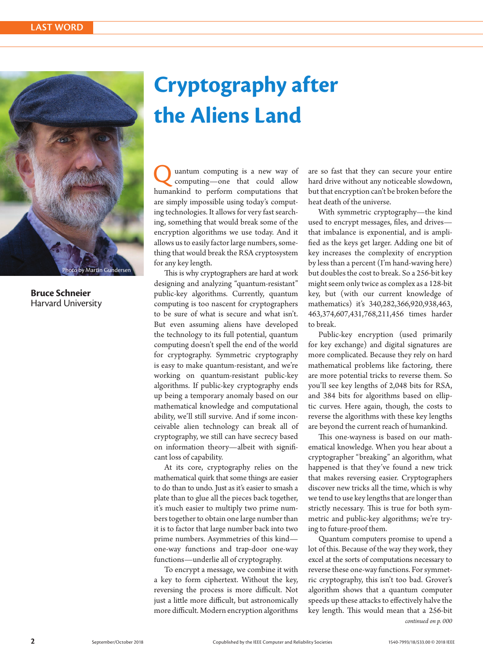

**Bruce Schneier** Harvard University

## **Cryptography after the Aliens Land**

uantum computing is a new way of computing—one that could allow humankind to perform computations that are simply impossible using today's computing technologies. It allows for very fast searching, something that would break some of the encryption algorithms we use today. And it allows us to easily factor large numbers, something that would break the RSA cryptosystem for any key length.

This is why cryptographers are hard at work designing and analyzing "quantum-resistant" public-key algorithms. Currently, quantum computing is too nascent for cryptographers to be sure of what is secure and what isn't. But even assuming aliens have developed the technology to its full potential, quantum computing doesn't spell the end of the world for cryptography. Symmetric cryptography is easy to make quantum-resistant, and we're working on quantum-resistant public-key algorithms. If public-key cryptography ends up being a temporary anomaly based on our mathematical knowledge and computational ability, we'll still survive. And if some inconceivable alien technology can break all of cryptography, we still can have secrecy based on information theory—albeit with significant loss of capability.

At its core, cryptography relies on the mathematical quirk that some things are easier to do than to undo. Just as it's easier to smash a plate than to glue all the pieces back together, it's much easier to multiply two prime numbers together to obtain one large number than it is to factor that large number back into two prime numbers. Asymmetries of this kind one-way functions and trap-door one-way functions—underlie all of cryptography.

To encrypt a message, we combine it with a key to form ciphertext. Without the key, reversing the process is more difficult. Not just a little more difficult, but astronomically more difficult. Modern encryption algorithms

are so fast that they can secure your entire hard drive without any noticeable slowdown, but that encryption can't be broken before the heat death of the universe.

With symmetric cryptography—the kind used to encrypt messages, files, and drives that imbalance is exponential, and is amplified as the keys get larger. Adding one bit of key increases the complexity of encryption by less than a percent (I'm hand-waving here) but doubles the cost to break. So a 256-bit key might seem only twice as complex as a 128-bit key, but (with our current knowledge of mathematics) it's 340,282,366,920,938,463, 463,374,607,431,768,211,456 times harder to break.

Public-key encryption (used primarily for key exchange) and digital signatures are more complicated. Because they rely on hard mathematical problems like factoring, there are more potential tricks to reverse them. So you'll see key lengths of 2,048 bits for RSA, and 384 bits for algorithms based on elliptic curves. Here again, though, the costs to reverse the algorithms with these key lengths are beyond the current reach of humankind.

This one-wayness is based on our mathematical knowledge. When you hear about a cryptographer "breaking" an algorithm, what happened is that they've found a new trick that makes reversing easier. Cryptographers discover new tricks all the time, which is why we tend to use key lengths that are longer than strictly necessary. This is true for both symmetric and public-key algorithms; we're trying to future-proof them.

Quantum computers promise to upend a lot of this. Because of the way they work, they excel at the sorts of computations necessary to reverse these one-way functions. For symmetric cryptography, this isn't too bad. Grover's algorithm shows that a quantum computer speeds up these attacks to effectively halve the key length. This would mean that a 256-bit *continued on p. 000*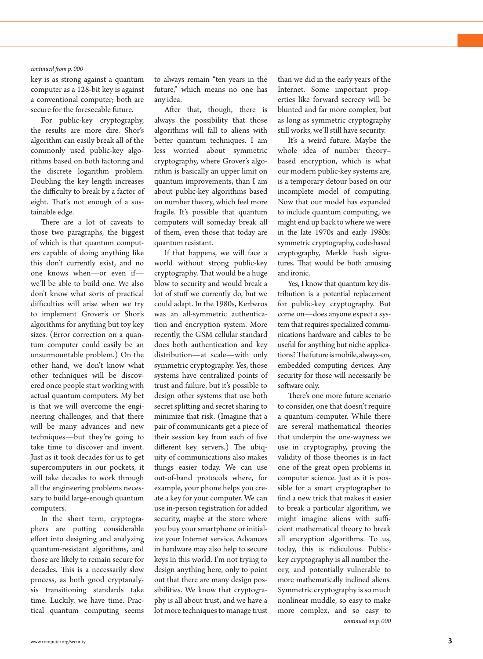## *continued from p. 000*

key is as strong against a quantum computer as a 128-bit key is against a conventional computer; both are secure for the foreseeable future.

For public-key cryptography, the results are more dire. Shor's algorithm can easily break all of the commonly used public-key algorithms based on both factoring and the discrete logarithm problem. Doubling the key length increases the difficulty to break by a factor of eight. That's not enough of a sustainable edge.

There are a lot of caveats to those two paragraphs, the biggest of which is that quantum computers capable of doing anything like this don't currently exist, and no one knows when—or even if we'll be able to build one. We also don't know what sorts of practical difficulties will arise when we try to implement Grover's or Shor's algorithms for anything but toy key sizes. (Error correction on a quantum computer could easily be an unsurmountable problem.) On the other hand, we don't know what other techniques will be discovered once people start working with actual quantum computers. My bet is that we will overcome the engineering challenges, and that there will be many advances and new techniques—but they're going to take time to discover and invent. Just as it took decades for us to get supercomputers in our pockets, it will take decades to work through all the engineering problems necessary to build large-enough quantum computers.

In the short term, cryptographers are putting considerable effort into designing and analyzing quantum-resistant algorithms, and those are likely to remain secure for decades. This is a necessarily slow process, as both good cryptanalysis transitioning standards take time. Luckily, we have time. Practical quantum computing seems

to always remain "ten years in the future," which means no one has any idea.

After that, though, there is always the possibility that those algorithms will fall to aliens with better quantum techniques. I am less worried about symmetric cryptography, where Grover's algorithm is basically an upper limit on quantum improvements, than I am about public-key algorithms based on number theory, which feel more fragile. It's possible that quantum computers will someday break all of them, even those that today are quantum resistant.

If that happens, we will face a world without strong public-key cryptography. That would be a huge blow to security and would break a lot of stuff we currently do, but we could adapt. In the 1980s, Kerberos was an all-symmetric authentication and encryption system. More recently, the GSM cellular standard does both authentication and key distribution—at scale—with only symmetric cryptography. Yes, those systems have centralized points of trust and failure, but it's possible to design other systems that use both secret splitting and secret sharing to minimize that risk. (Imagine that a pair of communicants get a piece of their session key from each of five different key servers.) The ubiquity of communications also makes things easier today. We can use out-of-band protocols where, for example, your phone helps you create a key for your computer. We can use in-person registration for added security, maybe at the store where you buy your smartphone or initialize your Internet service. Advances in hardware may also help to secure keys in this world. I'm not trying to design anything here, only to point out that there are many design possibilities. We know that cryptography is all about trust, and we have a lot more techniques to manage trust

than we did in the early years of the Internet. Some important properties like forward secrecy will be blunted and far more complex, but as long as symmetric cryptography still works, we'll still have security.

It's a weird future. Maybe the whole idea of number theory– based encryption, which is what our modern public-key systems are, is a temporary detour based on our incomplete model of computing. Now that our model has expanded to include quantum computing, we might end up back to where we were in the late 1970s and early 1980s: symmetric cryptography, code-based cryptography, Merkle hash signatures. That would be both amusing and ironic.

Yes, I know that quantum key distribution is a potential replacement for public-key cryptography. But come on—does anyone expect a system that requires specialized communications hardware and cables to be useful for anything but niche applications? The future is mobile, always-on, embedded computing devices. Any security for those will necessarily be software only.

There's one more future scenario to consider, one that doesn't require a quantum computer. While there are several mathematical theories that underpin the one-wayness we use in cryptography, proving the validity of those theories is in fact one of the great open problems in computer science. Just as it is possible for a smart cryptographer to find a new trick that makes it easier to break a particular algorithm, we might imagine aliens with sufficient mathematical theory to break all encryption algorithms. To us, today, this is ridiculous. Publickey cryptography is all number theory, and potentially vulnerable to more mathematically inclined aliens. Symmetric cryptography is so much nonlinear muddle, so easy to make more complex, and so easy to *continued on p. 000*